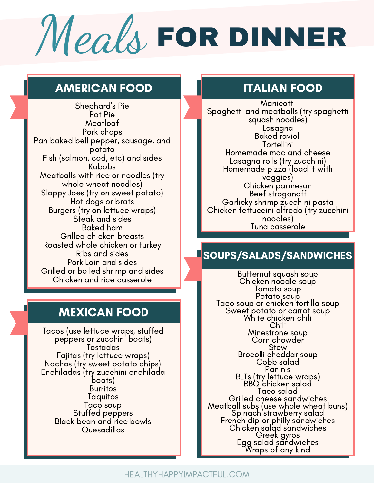# Meals FOR DINNER

### AMERICAN FOOD ITALIAN FOOD

Shephard's Pie Pot Pie Meatloaf Pork chops Pan baked bell pepper, sausage, and potato Fish (salmon, cod, etc) and sides Kabobs Meatballs with rice or noodles (try whole wheat noodles) Sloppy Joes (try on sweet potato) Hot dogs or brats Burgers (try on lettuce wraps) Steak and sides Baked ham Grilled chicken breasts Roasted whole chicken or turkey Ribs and sides Pork Loin and sides Grilled or boiled shrimp and sides Chicken and rice casserole

### MEXICAN FOOD

Tacos (use lettuce wraps, stuffed peppers or zucchini boats) Tostadas Fajitas (try lettuce wraps) Nachos (try sweet potato chips) Enchiladas (try zucchini enchilada boats) **Burritos Taquitos** Taco soup Stuffed peppers Black bean and rice bowls Quesadillas

**Manicotti** Spaghetti and meatballs (try spaghetti squash noodles) Lasagna Baked ravioli **Tortellini** Homemade mac and cheese Lasagna rolls (try zucchini) Homemade pizza (load it with veggies) Chicken parmesan Beef stroganoff [Garlicky](https://www.delish.com/cooking/recipe-ideas/a19664978/garlicky-shrimp-zucchini-pasta-recipe/) shrimp zucchini pasta Chicken fettuccini alfredo (try zucchini noodles) Tuna casserole

### SOUPS/SALADS/SANDWICHES

[Butternut](https://healthyhappyimpactful.com/3-easy-and-delicious-vegetable-soups-for-winter/) squash soup Chicken noodle soup Tomato soup Potato soup Taco soup or chicken tortilla soup Sweet potato or carrot soup White chicken chili Chili Minestrone soup Corn chowder Stew Brocolli cheddar soup Cobb salad Paninis BLTs (try lettuce wraps) BBQ chicken salad Taco salad Grilled cheese sandwiches Meatball subs (use whole wheat buns) Spinach [strawberry](https://www.theidearoom.net/strawberry-balsamic-vinaigrette-salad-dressing) salad French dip or philly sandwiches Chicken salad sandwiches Greek gyros Egg salad sandwiches Wraps of any kind